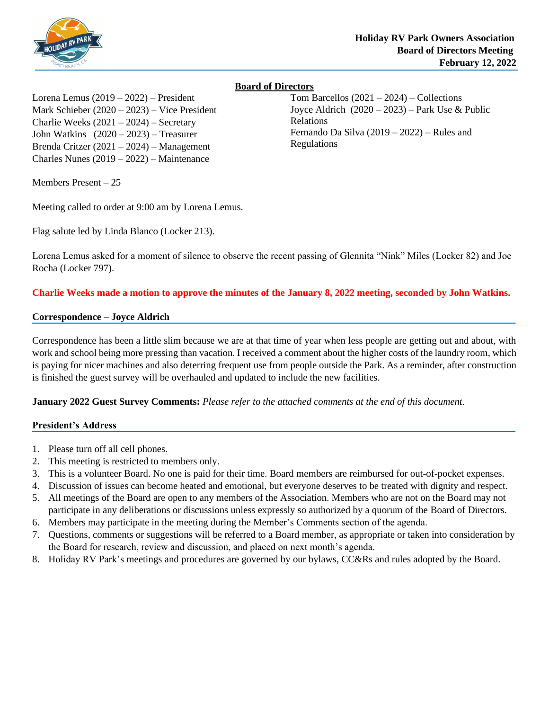

# **Board of Directors**

Tom Barcellos  $(2021 – 2024) – Collections$ Joyce Aldrich  $(2020 - 2023)$  – Park Use & Public Relations Fernando Da Silva (2019 – 2022) – Rules and Regulations

Lorena Lemus (2019 – 2022) – President Mark Schieber (2020 – 2023) – Vice President Charlie Weeks (2021 – 2024) – Secretary John Watkins (2020 – 2023) – Treasurer Brenda Critzer (2021 – 2024) – Management Charles Nunes (2019 – 2022) – Maintenance

Members Present – 25

Meeting called to order at 9:00 am by Lorena Lemus.

Flag salute led by Linda Blanco (Locker 213).

Lorena Lemus asked for a moment of silence to observe the recent passing of Glennita "Nink" Miles (Locker 82) and Joe Rocha (Locker 797).

# **Charlie Weeks made a motion to approve the minutes of the January 8, 2022 meeting, seconded by John Watkins.**

### **Correspondence – Joyce Aldrich**

Correspondence has been a little slim because we are at that time of year when less people are getting out and about, with work and school being more pressing than vacation. I received a comment about the higher costs of the laundry room, which is paying for nicer machines and also deterring frequent use from people outside the Park. As a reminder, after construction is finished the guest survey will be overhauled and updated to include the new facilities.

**January 2022 Guest Survey Comments:** *Please refer to the attached comments at the end of this document.*

### **President's Address**

- 1. Please turn off all cell phones.
- 2. This meeting is restricted to members only.
- 3. This is a volunteer Board. No one is paid for their time. Board members are reimbursed for out-of-pocket expenses.
- 4. Discussion of issues can become heated and emotional, but everyone deserves to be treated with dignity and respect.
- 5. All meetings of the Board are open to any members of the Association. Members who are not on the Board may not participate in any deliberations or discussions unless expressly so authorized by a quorum of the Board of Directors.
- 6. Members may participate in the meeting during the Member's Comments section of the agenda.
- 7. Questions, comments or suggestions will be referred to a Board member, as appropriate or taken into consideration by the Board for research, review and discussion, and placed on next month's agenda.
- 8. Holiday RV Park's meetings and procedures are governed by our bylaws, CC&Rs and rules adopted by the Board.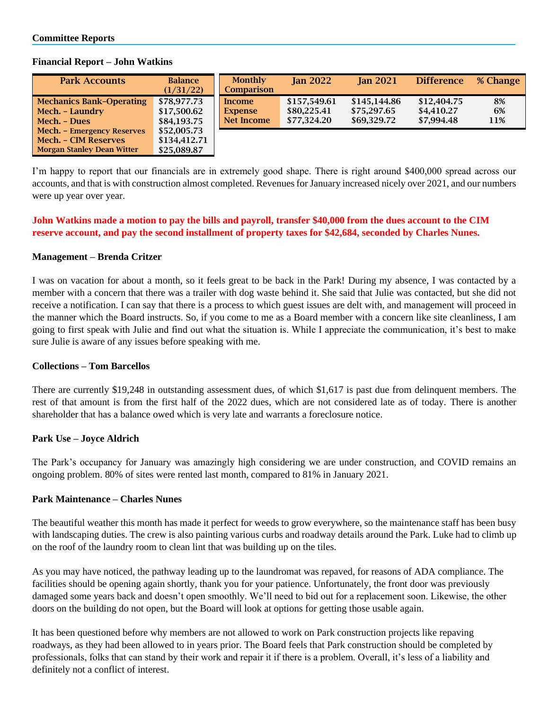| <b>Park Accounts</b>                                                                           | <b>Balance</b><br>(1/31/22)                | <b>Monthly</b><br><b>Comparison</b>    | <b>Jan 2022</b>                            | <b>Jan 2021</b>                            | <b>Difference</b>                       | % Change        |
|------------------------------------------------------------------------------------------------|--------------------------------------------|----------------------------------------|--------------------------------------------|--------------------------------------------|-----------------------------------------|-----------------|
| <b>Mechanics Bank-Operating</b><br>Mech. - Laundry<br>Mech. - Dues                             | \$78,977.73<br>\$17,500.62<br>\$84,193.75  | Income<br><b>Expense</b><br>Net Income | \$157.549.61<br>\$80,225.41<br>\$77.324.20 | \$145,144.86<br>\$75,297.65<br>\$69,329.72 | \$12,404.75<br>\$4,410.27<br>\$7.994.48 | 8%<br>6%<br>11% |
| <b>Mech.</b> - Emergency Reserves<br>Mech. - CIM Reserves<br><b>Morgan Stanley Dean Witter</b> | \$52,005.73<br>\$134,412.71<br>\$25,089.87 |                                        |                                            |                                            |                                         |                 |

#### **Financial Report – John Watkins**

I'm happy to report that our financials are in extremely good shape. There is right around \$400,000 spread across our accounts, and that is with construction almost completed. Revenues for January increased nicely over 2021, and our numbers were up year over year.

# **John Watkins made a motion to pay the bills and payroll, transfer \$40,000 from the dues account to the CIM reserve account, and pay the second installment of property taxes for \$42,684, seconded by Charles Nunes.**

### **Management – Brenda Critzer**

I was on vacation for about a month, so it feels great to be back in the Park! During my absence, I was contacted by a member with a concern that there was a trailer with dog waste behind it. She said that Julie was contacted, but she did not receive a notification. I can say that there is a process to which guest issues are delt with, and management will proceed in the manner which the Board instructs. So, if you come to me as a Board member with a concern like site cleanliness, I am going to first speak with Julie and find out what the situation is. While I appreciate the communication, it's best to make sure Julie is aware of any issues before speaking with me.

### **Collections – Tom Barcellos**

There are currently \$19,248 in outstanding assessment dues, of which \$1,617 is past due from delinquent members. The rest of that amount is from the first half of the 2022 dues, which are not considered late as of today. There is another shareholder that has a balance owed which is very late and warrants a foreclosure notice.

### **Park Use – Joyce Aldrich**

The Park's occupancy for January was amazingly high considering we are under construction, and COVID remains an ongoing problem. 80% of sites were rented last month, compared to 81% in January 2021.

### **Park Maintenance – Charles Nunes**

The beautiful weather this month has made it perfect for weeds to grow everywhere, so the maintenance staff has been busy with landscaping duties. The crew is also painting various curbs and roadway details around the Park. Luke had to climb up on the roof of the laundry room to clean lint that was building up on the tiles.

As you may have noticed, the pathway leading up to the laundromat was repaved, for reasons of ADA compliance. The facilities should be opening again shortly, thank you for your patience. Unfortunately, the front door was previously damaged some years back and doesn't open smoothly. We'll need to bid out for a replacement soon. Likewise, the other doors on the building do not open, but the Board will look at options for getting those usable again.

It has been questioned before why members are not allowed to work on Park construction projects like repaving roadways, as they had been allowed to in years prior. The Board feels that Park construction should be completed by professionals, folks that can stand by their work and repair it if there is a problem. Overall, it's less of a liability and definitely not a conflict of interest.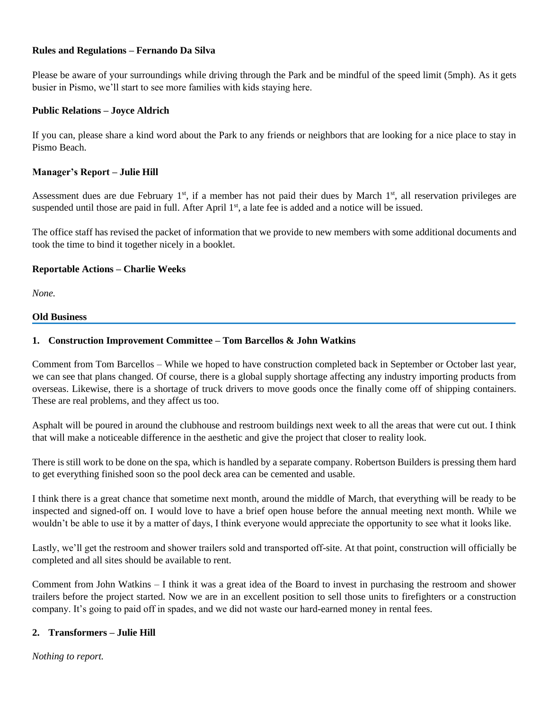## **Rules and Regulations – Fernando Da Silva**

Please be aware of your surroundings while driving through the Park and be mindful of the speed limit (5mph). As it gets busier in Pismo, we'll start to see more families with kids staying here.

## **Public Relations – Joyce Aldrich**

If you can, please share a kind word about the Park to any friends or neighbors that are looking for a nice place to stay in Pismo Beach.

# **Manager's Report – Julie Hill**

Assessment dues are due February 1<sup>st</sup>, if a member has not paid their dues by March 1<sup>st</sup>, all reservation privileges are suspended until those are paid in full. After April 1<sup>st</sup>, a late fee is added and a notice will be issued.

The office staff has revised the packet of information that we provide to new members with some additional documents and took the time to bind it together nicely in a booklet.

# **Reportable Actions – Charlie Weeks**

*None.*

#### **Old Business**

# **1. Construction Improvement Committee – Tom Barcellos & John Watkins**

Comment from Tom Barcellos – While we hoped to have construction completed back in September or October last year, we can see that plans changed. Of course, there is a global supply shortage affecting any industry importing products from overseas. Likewise, there is a shortage of truck drivers to move goods once the finally come off of shipping containers. These are real problems, and they affect us too.

Asphalt will be poured in around the clubhouse and restroom buildings next week to all the areas that were cut out. I think that will make a noticeable difference in the aesthetic and give the project that closer to reality look.

There is still work to be done on the spa, which is handled by a separate company. Robertson Builders is pressing them hard to get everything finished soon so the pool deck area can be cemented and usable.

I think there is a great chance that sometime next month, around the middle of March, that everything will be ready to be inspected and signed-off on. I would love to have a brief open house before the annual meeting next month. While we wouldn't be able to use it by a matter of days, I think everyone would appreciate the opportunity to see what it looks like.

Lastly, we'll get the restroom and shower trailers sold and transported off-site. At that point, construction will officially be completed and all sites should be available to rent.

Comment from John Watkins – I think it was a great idea of the Board to invest in purchasing the restroom and shower trailers before the project started. Now we are in an excellent position to sell those units to firefighters or a construction company. It's going to paid off in spades, and we did not waste our hard-earned money in rental fees.

### **2. Transformers – Julie Hill**

*Nothing to report.*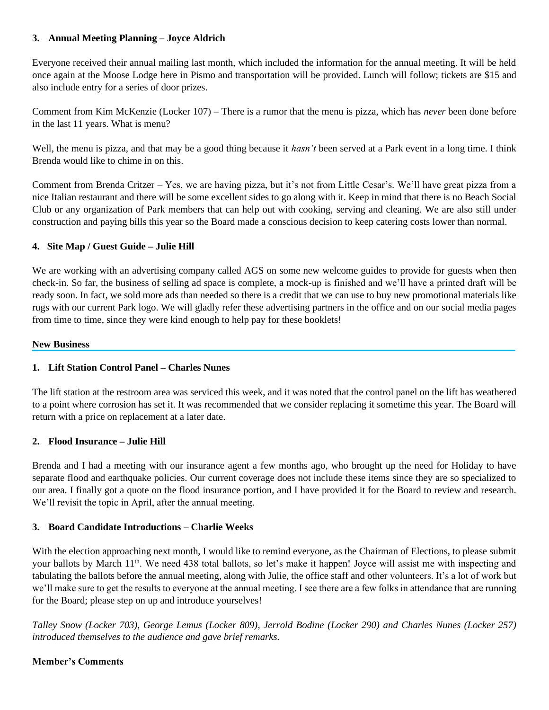# **3. Annual Meeting Planning – Joyce Aldrich**

Everyone received their annual mailing last month, which included the information for the annual meeting. It will be held once again at the Moose Lodge here in Pismo and transportation will be provided. Lunch will follow; tickets are \$15 and also include entry for a series of door prizes.

Comment from Kim McKenzie (Locker 107) – There is a rumor that the menu is pizza, which has *never* been done before in the last 11 years. What is menu?

Well, the menu is pizza, and that may be a good thing because it *hasn't* been served at a Park event in a long time. I think Brenda would like to chime in on this.

Comment from Brenda Critzer – Yes, we are having pizza, but it's not from Little Cesar's. We'll have great pizza from a nice Italian restaurant and there will be some excellent sides to go along with it. Keep in mind that there is no Beach Social Club or any organization of Park members that can help out with cooking, serving and cleaning. We are also still under construction and paying bills this year so the Board made a conscious decision to keep catering costs lower than normal.

# **4. Site Map / Guest Guide – Julie Hill**

We are working with an advertising company called AGS on some new welcome guides to provide for guests when then check-in. So far, the business of selling ad space is complete, a mock-up is finished and we'll have a printed draft will be ready soon. In fact, we sold more ads than needed so there is a credit that we can use to buy new promotional materials like rugs with our current Park logo. We will gladly refer these advertising partners in the office and on our social media pages from time to time, since they were kind enough to help pay for these booklets!

#### **New Business**

# **1. Lift Station Control Panel – Charles Nunes**

The lift station at the restroom area was serviced this week, and it was noted that the control panel on the lift has weathered to a point where corrosion has set it. It was recommended that we consider replacing it sometime this year. The Board will return with a price on replacement at a later date.

## **2. Flood Insurance – Julie Hill**

Brenda and I had a meeting with our insurance agent a few months ago, who brought up the need for Holiday to have separate flood and earthquake policies. Our current coverage does not include these items since they are so specialized to our area. I finally got a quote on the flood insurance portion, and I have provided it for the Board to review and research. We'll revisit the topic in April, after the annual meeting.

### **3. Board Candidate Introductions – Charlie Weeks**

With the election approaching next month, I would like to remind everyone, as the Chairman of Elections, to please submit your ballots by March 11th. We need 438 total ballots, so let's make it happen! Joyce will assist me with inspecting and tabulating the ballots before the annual meeting, along with Julie, the office staff and other volunteers. It's a lot of work but we'll make sure to get the results to everyone at the annual meeting. I see there are a few folks in attendance that are running for the Board; please step on up and introduce yourselves!

*Talley Snow (Locker 703), George Lemus (Locker 809), Jerrold Bodine (Locker 290) and Charles Nunes (Locker 257) introduced themselves to the audience and gave brief remarks.*

### **Member's Comments**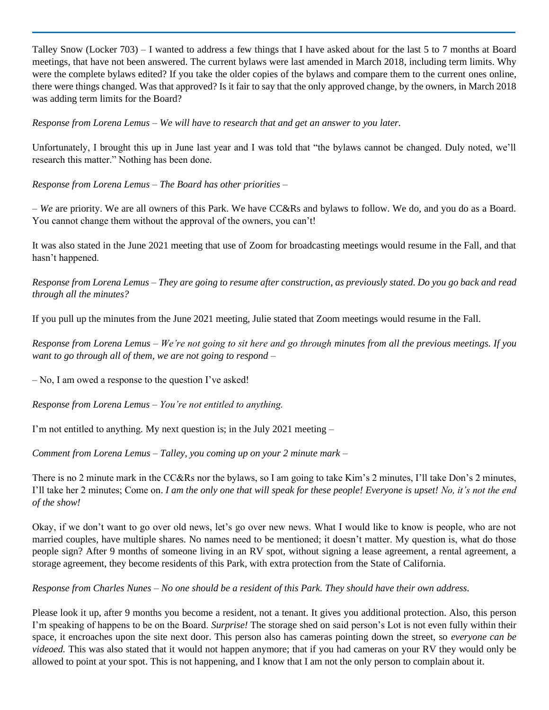Talley Snow (Locker 703) – I wanted to address a few things that I have asked about for the last 5 to 7 months at Board meetings, that have not been answered. The current bylaws were last amended in March 2018, including term limits. Why were the complete bylaws edited? If you take the older copies of the bylaws and compare them to the current ones online, there were things changed. Was that approved? Is it fair to say that the only approved change, by the owners, in March 2018 was adding term limits for the Board?

*Response from Lorena Lemus – We will have to research that and get an answer to you later.*

Unfortunately, I brought this up in June last year and I was told that "the bylaws cannot be changed. Duly noted, we'll research this matter." Nothing has been done.

*Response from Lorena Lemus – The Board has other priorities –*

– *We* are priority. We are all owners of this Park. We have CC&Rs and bylaws to follow. We do, and you do as a Board. You cannot change them without the approval of the owners, you can't!

It was also stated in the June 2021 meeting that use of Zoom for broadcasting meetings would resume in the Fall, and that hasn't happened.

*Response from Lorena Lemus – They are going to resume after construction, as previously stated. Do you go back and read through all the minutes?*

If you pull up the minutes from the June 2021 meeting, Julie stated that Zoom meetings would resume in the Fall.

*Response from Lorena Lemus – We're not going to sit here and go through minutes from all the previous meetings. If you want to go through all of them, we are not going to respond –*

– No, I am owed a response to the question I've asked!

*Response from Lorena Lemus – You're not entitled to anything.*

I'm not entitled to anything*.* My next question is; in the July 2021 meeting –

*Comment from Lorena Lemus – Talley, you coming up on your 2 minute mark –*

There is no 2 minute mark in the CC&Rs nor the bylaws, so I am going to take Kim's 2 minutes, I'll take Don's 2 minutes, I'll take her 2 minutes; Come on. *I am the only one that will speak for these people! Everyone is upset! No, it's not the end of the show!* 

Okay, if we don't want to go over old news, let's go over new news. What I would like to know is people, who are not married couples, have multiple shares. No names need to be mentioned; it doesn't matter. My question is, what do those people sign? After 9 months of someone living in an RV spot, without signing a lease agreement, a rental agreement, a storage agreement, they become residents of this Park, with extra protection from the State of California.

*Response from Charles Nunes – No one should be a resident of this Park. They should have their own address.* 

Please look it up, after 9 months you become a resident, not a tenant. It gives you additional protection. Also, this person I'm speaking of happens to be on the Board. *Surprise!* The storage shed on said person's Lot is not even fully within their space, it encroaches upon the site next door. This person also has cameras pointing down the street, so *everyone can be videoed.* This was also stated that it would not happen anymore; that if you had cameras on your RV they would only be allowed to point at your spot. This is not happening, and I know that I am not the only person to complain about it.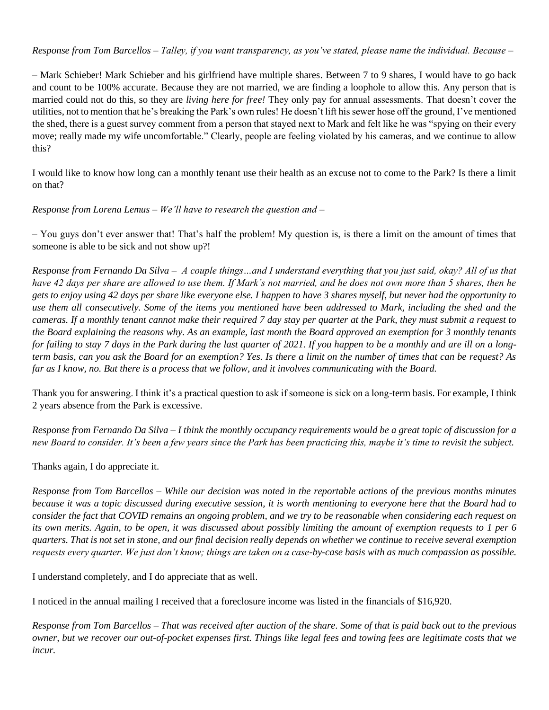# *Response from Tom Barcellos – Talley, if you want transparency, as you've stated, please name the individual. Because –*

– Mark Schieber! Mark Schieber and his girlfriend have multiple shares. Between 7 to 9 shares, I would have to go back and count to be 100% accurate. Because they are not married, we are finding a loophole to allow this. Any person that is married could not do this, so they are *living here for free!* They only pay for annual assessments. That doesn't cover the utilities, not to mention that he's breaking the Park's own rules! He doesn't lift his sewer hose off the ground, I've mentioned the shed, there is a guest survey comment from a person that stayed next to Mark and felt like he was "spying on their every move; really made my wife uncomfortable." Clearly, people are feeling violated by his cameras, and we continue to allow this?

I would like to know how long can a monthly tenant use their health as an excuse not to come to the Park? Is there a limit on that?

*Response from Lorena Lemus – We'll have to research the question and –*

– You guys don't ever answer that! That's half the problem! My question is, is there a limit on the amount of times that someone is able to be sick and not show up?!

*Response from Fernando Da Silva – A couple things…and I understand everything that you just said, okay? All of us that have 42 days per share are allowed to use them. If Mark's not married, and he does not own more than 5 shares, then he gets to enjoy using 42 days per share like everyone else. I happen to have 3 shares myself, but never had the opportunity to use them all consecutively. Some of the items you mentioned have been addressed to Mark, including the shed and the cameras. If a monthly tenant cannot make their required 7 day stay per quarter at the Park, they must submit a request to the Board explaining the reasons why. As an example, last month the Board approved an exemption for 3 monthly tenants for failing to stay 7 days in the Park during the last quarter of 2021. If you happen to be a monthly and are ill on a longterm basis, can you ask the Board for an exemption? Yes. Is there a limit on the number of times that can be request? As far as I know, no. But there is a process that we follow, and it involves communicating with the Board.* 

Thank you for answering. I think it's a practical question to ask if someone is sick on a long-term basis. For example, I think 2 years absence from the Park is excessive.

*Response from Fernando Da Silva – I think the monthly occupancy requirements would be a great topic of discussion for a new Board to consider. It's been a few years since the Park has been practicing this, maybe it's time to revisit the subject.*

Thanks again, I do appreciate it.

*Response from Tom Barcellos – While our decision was noted in the reportable actions of the previous months minutes because it was a topic discussed during executive session, it is worth mentioning to everyone here that the Board had to consider the fact that COVID remains an ongoing problem, and we try to be reasonable when considering each request on its own merits. Again, to be open, it was discussed about possibly limiting the amount of exemption requests to 1 per 6 quarters. That is not set in stone, and our final decision really depends on whether we continue to receive several exemption requests every quarter. We just don't know; things are taken on a case-by-case basis with as much compassion as possible.*

I understand completely, and I do appreciate that as well.

I noticed in the annual mailing I received that a foreclosure income was listed in the financials of \$16,920.

*Response from Tom Barcellos – That was received after auction of the share. Some of that is paid back out to the previous owner, but we recover our out-of-pocket expenses first. Things like legal fees and towing fees are legitimate costs that we incur.*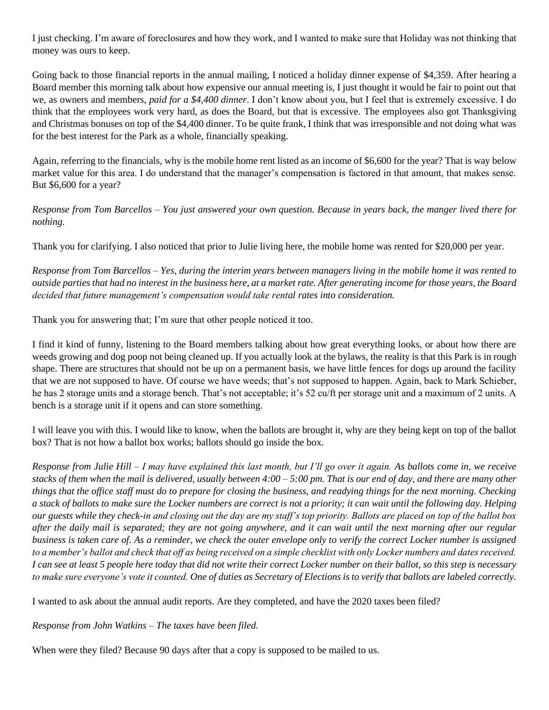I just checking. I'm aware of foreclosures and how they work, and I wanted to make sure that Holiday was not thinking that money was ours to keep.

Going back to those financial reports in the annual mailing, I noticed a holiday dinner expense of \$4,359. After hearing a Board member this morning talk about how expensive our annual meeting is, I just thought it would be fair to point out that we, as owners and members, *paid for a \$4,400 dinner*. I don't know about you, but I feel that is extremely excessive. I do think that the employees work very hard, as does the Board, but that is excessive. The employees also got Thanksgiving and Christmas bonuses on top of the \$4,400 dinner. To be quite frank, I think that was irresponsible and not doing what was for the best interest for the Park as a whole, financially speaking.

Again, referring to the financials, why is the mobile home rent listed as an income of \$6,600 for the year? That is way below market value for this area. I do understand that the manager's compensation is factored in that amount, that makes sense. But \$6,600 for a year?

*Response from Tom Barcellos – You just answered your own question. Because in years back, the manger lived there for nothing.*

Thank you for clarifying. I also noticed that prior to Julie living here, the mobile home was rented for \$20,000 per year.

*Response from Tom Barcellos – Yes, during the interim years between managers living in the mobile home it was rented to outside parties that had no interest in the business here, at a market rate. After generating income for those years, the Board decided that future management's compensation would take rental rates into consideration.*

Thank you for answering that; I'm sure that other people noticed it too.

I find it kind of funny, listening to the Board members talking about how great everything looks, or about how there are weeds growing and dog poop not being cleaned up. If you actually look at the bylaws, the reality is that this Park is in rough shape. There are structures that should not be up on a permanent basis, we have little fences for dogs up around the facility that we are not supposed to have. Of course we have weeds; that's not supposed to happen. Again, back to Mark Schieber, he has 2 storage units and a storage bench. That's not acceptable; it's 52 cu/ft per storage unit and a maximum of 2 units. A bench is a storage unit if it opens and can store something.

I will leave you with this. I would like to know, when the ballots are brought it, why are they being kept on top of the ballot box? That is not how a ballot box works; ballots should go inside the box.

*Response from Julie Hill – I may have explained this last month, but I'll go over it again. As ballots come in, we receive stacks of them when the mail is delivered, usually between 4:00 – 5:00 pm. That is our end of day, and there are many other things that the office staff must do to prepare for closing the business, and readying things for the next morning. Checking a stack of ballots to make sure the Locker numbers are correct is not a priority; it can wait until the following day. Helping our guests while they check-in and closing out the day are my staff's top priority. Ballots are placed on top of the ballot box after the daily mail is separated; they are not going anywhere, and it can wait until the next morning after our regular business is taken care of. As a reminder, we check the outer envelope only to verify the correct Locker number is assigned to a member's ballot and check that off as being received on a simple checklist with only Locker numbers and dates received. I can see at least 5 people here today that did not write their correct Locker number on their ballot, so this step is necessary to make sure everyone's vote it counted. One of duties as Secretary of Elections is to verify that ballots are labeled correctly.*

I wanted to ask about the annual audit reports. Are they completed, and have the 2020 taxes been filed?

*Response from John Watkins – The taxes have been filed.*

When were they filed? Because 90 days after that a copy is supposed to be mailed to us.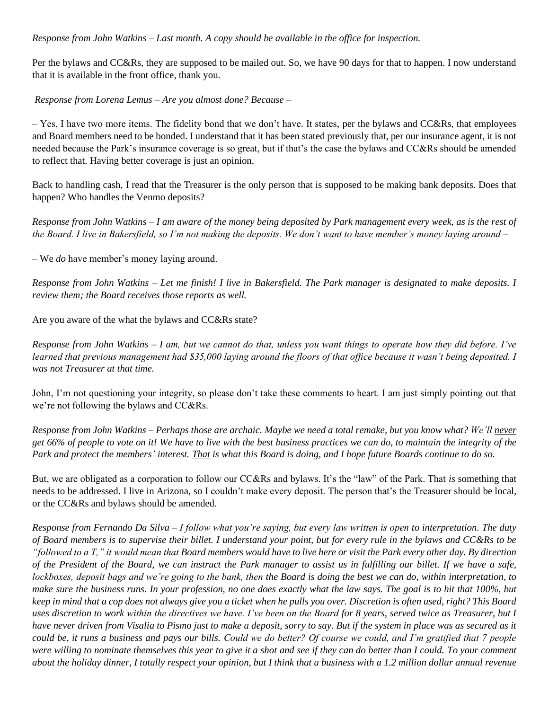# *Response from John Watkins – Last month. A copy should be available in the office for inspection.*

Per the bylaws and CC&Rs, they are supposed to be mailed out. So, we have 90 days for that to happen. I now understand that it is available in the front office, thank you.

*Response from Lorena Lemus – Are you almost done? Because –*

– Yes, I have two more items. The fidelity bond that we don't have. It states, per the bylaws and CC&Rs, that employees and Board members need to be bonded. I understand that it has been stated previously that, per our insurance agent, it is not needed because the Park's insurance coverage is so great, but if that's the case the bylaws and CC&Rs should be amended to reflect that. Having better coverage is just an opinion.

Back to handling cash, I read that the Treasurer is the only person that is supposed to be making bank deposits. Does that happen? Who handles the Venmo deposits?

*Response from John Watkins – I am aware of the money being deposited by Park management every week, as is the rest of the Board. I live in Bakersfield, so I'm not making the deposits. We don't want to have member's money laying around –*

– We *do* have member's money laying around.

*Response from John Watkins – Let me finish! I live in Bakersfield. The Park manager is designated to make deposits. I review them; the Board receives those reports as well.*

Are you aware of the what the bylaws and CC&Rs state?

*Response from John Watkins – I am, but we cannot do that, unless you want things to operate how they did before. I've learned that previous management had \$35,000 laying around the floors of that office because it wasn't being deposited. I was not Treasurer at that time.*

John, I'm not questioning your integrity, so please don't take these comments to heart. I am just simply pointing out that we're not following the bylaws and CC&Rs.

*Response from John Watkins – Perhaps those are archaic. Maybe we need a total remake, but you know what? We'll never get 66% of people to vote on it! We have to live with the best business practices we can do, to maintain the integrity of the Park and protect the members' interest. That is what this Board is doing, and I hope future Boards continue to do so.*

But, we are obligated as a corporation to follow our CC&Rs and bylaws. It's the "law" of the Park. That *is* something that needs to be addressed. I live in Arizona, so I couldn't make every deposit. The person that's the Treasurer should be local, or the CC&Rs and bylaws should be amended.

*Response from Fernando Da Silva – I follow what you're saying, but every law written is open to interpretation. The duty of Board members is to supervise their billet. I understand your point, but for every rule in the bylaws and CC&Rs to be "followed to a T," it would mean that Board members would have to live here or visit the Park every other day. By direction of the President of the Board, we can instruct the Park manager to assist us in fulfilling our billet. If we have a safe, lockboxes, deposit bags and we're going to the bank, then the Board is doing the best we can do, within interpretation, to make sure the business runs. In your profession, no one does exactly what the law says. The goal is to hit that 100%, but keep in mind that a cop does not always give you a ticket when he pulls you over. Discretion is often used, right? This Board uses discretion to work within the directives we have. I've been on the Board for 8 years, served twice as Treasurer, but I have never driven from Visalia to Pismo just to make a deposit, sorry to say. But if the system in place was as secured as it could be, it runs a business and pays our bills. Could we do better? Of course we could, and I'm gratified that 7 people were willing to nominate themselves this year to give it a shot and see if they can do better than I could. To your comment about the holiday dinner, I totally respect your opinion, but I think that a business with a 1.2 million dollar annual revenue*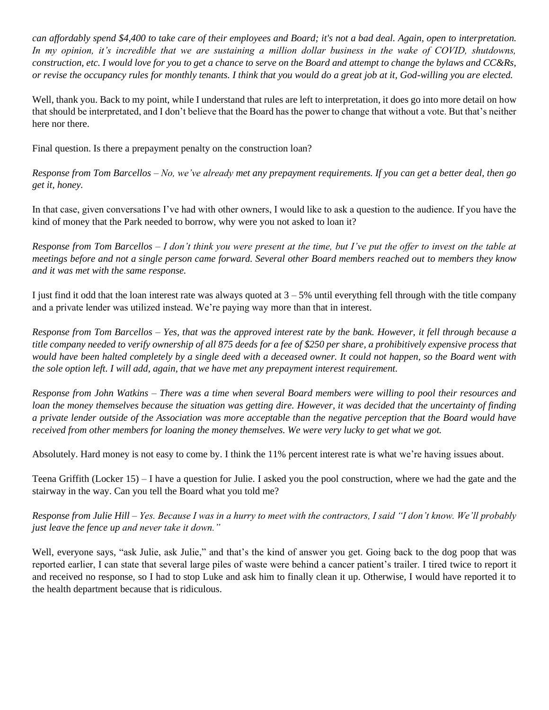*can affordably spend \$4,400 to take care of their employees and Board; it's not a bad deal. Again, open to interpretation.*  In my opinion, it's incredible that we are sustaining a million dollar business in the wake of COVID, shutdowns, *construction, etc. I would love for you to get a chance to serve on the Board and attempt to change the bylaws and CC&Rs, or revise the occupancy rules for monthly tenants. I think that you would do a great job at it, God-willing you are elected.*

Well, thank you. Back to my point, while I understand that rules are left to interpretation, it does go into more detail on how that should be interpretated, and I don't believe that the Board has the power to change that without a vote. But that's neither here nor there.

Final question. Is there a prepayment penalty on the construction loan?

*Response from Tom Barcellos – No, we've already met any prepayment requirements. If you can get a better deal, then go get it, honey.*

In that case, given conversations I've had with other owners, I would like to ask a question to the audience. If you have the kind of money that the Park needed to borrow, why were you not asked to loan it?

*Response from Tom Barcellos – I don't think you were present at the time, but I've put the offer to invest on the table at meetings before and not a single person came forward. Several other Board members reached out to members they know and it was met with the same response.*

I just find it odd that the loan interest rate was always quoted at  $3 - 5%$  until everything fell through with the title company and a private lender was utilized instead. We're paying way more than that in interest.

*Response from Tom Barcellos – Yes, that was the approved interest rate by the bank. However, it fell through because a title company needed to verify ownership of all 875 deeds for a fee of \$250 per share, a prohibitively expensive process that would have been halted completely by a single deed with a deceased owner. It could not happen, so the Board went with the sole option left. I will add, again, that we have met any prepayment interest requirement.* 

*Response from John Watkins – There was a time when several Board members were willing to pool their resources and loan the money themselves because the situation was getting dire. However, it was decided that the uncertainty of finding a private lender outside of the Association was more acceptable than the negative perception that the Board would have received from other members for loaning the money themselves. We were very lucky to get what we got.*

Absolutely. Hard money is not easy to come by. I think the 11% percent interest rate is what we're having issues about.

Teena Griffith (Locker 15) – I have a question for Julie. I asked you the pool construction, where we had the gate and the stairway in the way. Can you tell the Board what you told me?

*Response from Julie Hill – Yes. Because I was in a hurry to meet with the contractors, I said "I don't know. We'll probably just leave the fence up and never take it down."*

Well, everyone says, "ask Julie, ask Julie," and that's the kind of answer you get. Going back to the dog poop that was reported earlier, I can state that several large piles of waste were behind a cancer patient's trailer. I tired twice to report it and received no response, so I had to stop Luke and ask him to finally clean it up. Otherwise, I would have reported it to the health department because that is ridiculous.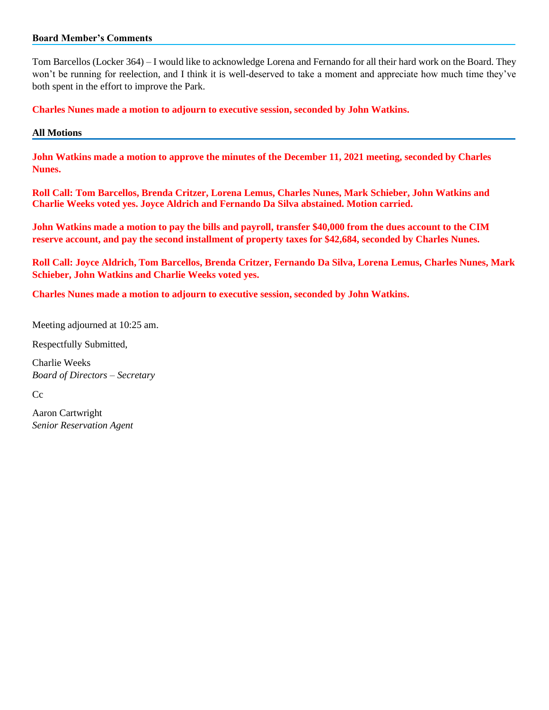#### **Board Member's Comments**

Tom Barcellos (Locker 364) – I would like to acknowledge Lorena and Fernando for all their hard work on the Board. They won't be running for reelection, and I think it is well-deserved to take a moment and appreciate how much time they've both spent in the effort to improve the Park.

**Charles Nunes made a motion to adjourn to executive session, seconded by John Watkins.**

#### **All Motions**

**John Watkins made a motion to approve the minutes of the December 11, 2021 meeting, seconded by Charles Nunes.**

**Roll Call: Tom Barcellos, Brenda Critzer, Lorena Lemus, Charles Nunes, Mark Schieber, John Watkins and Charlie Weeks voted yes. Joyce Aldrich and Fernando Da Silva abstained. Motion carried.**

**John Watkins made a motion to pay the bills and payroll, transfer \$40,000 from the dues account to the CIM reserve account, and pay the second installment of property taxes for \$42,684, seconded by Charles Nunes.**

**Roll Call: Joyce Aldrich, Tom Barcellos, Brenda Critzer, Fernando Da Silva, Lorena Lemus, Charles Nunes, Mark Schieber, John Watkins and Charlie Weeks voted yes.**

**Charles Nunes made a motion to adjourn to executive session, seconded by John Watkins.**

Meeting adjourned at 10:25 am.

Respectfully Submitted,

Charlie Weeks *Board of Directors – Secretary*

Cc

Aaron Cartwright *Senior Reservation Agent*